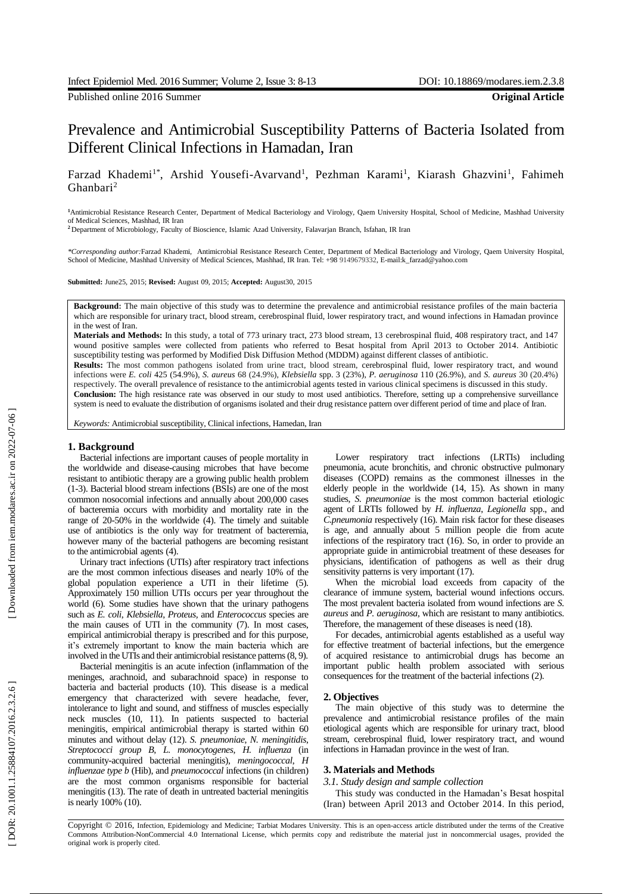Published online 2016 Summer **Original Article**

# Prevalence and Antimicrobial Susceptibility Patterns of Bacteria Isolated from Different Clinical Infections in Hamadan, Iran

Farzad Khademi<sup>1\*</sup>, Arshid Yousefi-Avarvand<sup>1</sup>, Pezhman Karami<sup>1</sup>, Kiarash Ghazvini<sup>1</sup>, Fahimeh Ghanbari 2

**<sup>1</sup>**Antimicrobial Resistance Research Center, Department of Medical Bacteriology and Virology, Qaem University Hospital, School of Medicine, Mashhad University of Medical Sciences, Mashhad, IR Iran

**<sup>2</sup>**Department of Microbiology, Faculty of Bioscience, Islamic Azad University, Falavarjan Branch, Isfahan, IR Iran

*\*Corresponding author:*Farzad Khademi, Antimicrobial Resistance Research Center, Department of Medical Bacteriology and Virology, Qaem University Hospital, School of Medicine, Mashhad University of Medical Sciences, Mashhad, IR Iran. Tel: +98 9149679332, E -mail:k\_farzad@yahoo.com

**Submitted:** June25, 2015; **Revised:** August 09, 2015; **Accepted:** August30, 2015

**Background :** The main objective of this study was to determine the prevalence and antimicrobial resistance profiles of the main bacteria which are responsible for urinary tract, blood stream, cerebrospinal fluid, lower respiratory tract, and wound infections in Hamadan province in the west of Iran.

**Materials and Methods:** In this study, a total of 773 urinary tract, 273 blood stream, 13 cerebrospinal fluid, 408 respiratory tract , and 147 wound positive samples were collected from patients who referred to Besat hospital from April 2013 to October 2014 . Antibiotic susceptibility testing was performed by Modified Disk Diffusion Method (MDDM) against different classes of antibiotic.

**Results:** The most common pathogens isolated from urine tract, blood stream, cerebrospinal fluid, lower respiratory tract , and wound infections were *E. coli* 425 (54.9%) , *S. aureus* 68 (24.9%), *Klebsiella* spp. 3 (23%), *P. aeruginosa* 110 (26.9%), and *S. aureus* 30 (20.4%) respectively. The overall prevalence of resistance to the antimicrobial agents tested in various clinical specimens is discussed in this study .

**Conclusion:** The high resistance rate was observed in our study to most used antibiotics. Therefore, setting up a comprehensive surveillance system is need to evaluate the distribution of organisms isolated and their drug resistance pattern over different period of time and place of Iran.

*Keywords:* Antimicrobial susceptibility, Clinical infections, Hamedan, Iran

## **1. Background**

Bacterial infections are important causes of people mortality in the worldwide and disease -causing microbes that have become resistant to antibiotic therapy are a growing public health problem (1 -3) . Bacterial blood stream infections (BSIs) are one of the most common nosocomial infections and annually about 200,000 cases of bacteremia occur s with morbidity and mortality rate in the range of 20 -50% in the worldwide (4) . The timely and suitable use of antibiotics is the only way for treatment of bacteremia, however many of the bacterial pathogens are becoming resistant to the antimicrobial agents (4) .

Urinary tract infections (UTIs) after respiratory tract infection s are the most common infectious diseases and nearly 10% of the global population experience a UTI in their lifetime (5) . Approximately 150 million UTIs occur s per year throughout the world (6). Some studies have shown that the urinary pathogens such as *E. coli*, *Klebsiella*, *Proteus,* and *Enterococcus* species are the main causes of UTI in the community (7). In most cases, empirical antimicrobial therapy is prescribed and for this purpose, it's extremely important to know the main bacteria which are involved in the UTIs and their antimicrobial resistance patterns (8, 9) .

Bacterial meningitis is an acute infection (inflammation of the meninges, arachnoid , and subarachnoid space) in response to bacteria and bacterial products (10). This disease is a medical emergency that characterized with severe headache, fever, intolerance to light and sound, and stiffness of muscles especially neck muscles (10, 11). In patients suspected to bacterial meningitis, empirical antimicrobial therapy is started within 60 minutes and without delay (12). *S. pneumoniae*, *N. meningitidis*, *Streptococci group B* , *L. monocytogenes*, *H. influenza* (in community -acquired bacterial meningitis), *meningococcal*, *H influenzae type b* (Hib) , and *pneumococcal* infections (in children) are the most common organisms responsible for bacterial meningitis (13). The rate of death in untreated bacterial meningitis is nearly 100% (10) .

Lower respiratory tract infection s (LRTIs) including pneumonia, acute bronchitis , and chronic obstructive pulmonary disease s (COPD) remain s as the commonest illnesses in the elderly people in the worldwide (14, 15). As shown in many studies, *S. pneumoniae* is the most common bacterial etiologic agent of LRTIs followed by *H. influenza*, *Legionella* spp. , and *C.pneumonia* respectively (16). Main risk factor for these disease s is age , and annually about 5 million people die from acute infection s of the respiratory tract (16). So, in order to provide an appropriate guide in antimicrobial treatment of these deseases for physicians, identification of pathogens as well as their drug sensitivity patterns is very important  $(17)$ .

When the microbial load exceeds from capacity of the clearance of immune system, bacterial wound infections occur s . The most prevalent bacteria isolated from wound infections are *S. aureus* and *P. aeruginosa*, which are resistant to many antibiotics. Therefore, the management of these diseases is need (18).

For decades, antimicrobial agents established as a useful way for effective treatment of bacterial infections , but the emergence of acquired resistance to antimicrobial drugs has become an important public health problem associated with serious consequences for the treatment of the bacterial infection s (2).

#### **2. Objectives**

The main objective of this study was to determine the prevalence and antimicrobial resistance profiles of the main etiological agents which are responsible for urinary tract, blood stream, cerebrospinal fluid, lower respiratory tract , and wound infections in Hamadan province in the west of Iran.

## **3. Materials and Methods**

*3.1. Study design and sample collection*

This study was conducted in the Hamadan's Besat hospital (Iran) between April 2013 and October 2014 . In this period,

Copyright © 2016, Infection, Epidemiology and Medicine; Tarbiat Modares University. This is an open -access article distributed under the terms of the Creative Commons Attribution -NonCommercial 4.0 International License, which permits copy and redistribute the material just in noncommercial usages, provided the original work is properly cited .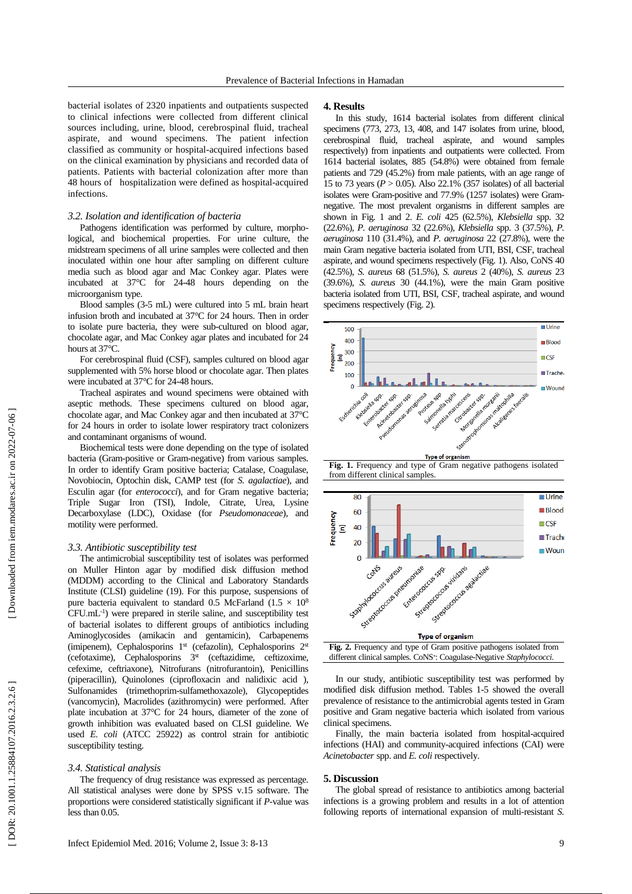bacterial isolates of 2320 inpatients and outpatients suspected to clinical infections were collected from different clinical sources including, urine, blood, cerebrospinal fluid, tracheal aspirate , and wound specimens. The patient infection classified as community or hospital -acquired infections based on the clinical examination by physicians and recorded data of patients. Patients with bacterial colonization after more than 48 hours of hospitalization were defined as hospital -acquired infections.

## *3.2. Isolation and identification of bacteria*

Pathogens identification was performed by culture, morpho logical , and biochemical properties. For urine culture, the midstream specimens of all urine samples were collected and then inoculated within one hour after sampling on different culture media such as blood agar and Mac Conkey agar. Plates were incubated at 37°C for 24 -48 hours depending on the microorganism type.

Blood samples (3 - 5 mL) were cultured into 5 mL brain heart infusion broth and incubated at 37°C for 24 hours. Then in order to isolat e pure bacteria, they were sub -cultured on blood agar, chocolate agar , and Mac Conkey agar plates and incubated for 24 hours at 37°C.

For cerebrospinal fluid (CSF), samples cultured on blood agar supplemented with 5% horse blood or chocolate agar. Then plates were incubated at 37°C for 24 -48 hours.

Tracheal aspirates and wound specimens were obtained with aseptic methods. These specimens cultured on blood agar, chocolate agar , and Mac Conkey agar and then incubated at 37°C for 24 hours in order to isolat e lower respiratory tract colonizer s and contaminant organism s of wound.

Biochemical tests were done depending on the type of isolated bacteria (Gram-positive or Gram -negative) from various samples. In order to identify Gram positive bacteria; Catalase, Coagulase, Novobiocin, Optochin disk, CAMP test (for *S. agalactiae*), and Esculin agar (for *enterococci*), and for Gram negative bacteria; Triple Sugar Iron (TSI), Indole, Citrate, Urea, Lysine Decarboxylase (LDC), Oxidase (for *Pseudomonaceae* ) , and motility were performed .

### *3.3. Antibiotic susceptibility test*

The antimicrobial susceptibility test of isolates was performed on Muller Hinton agar by modified disk diffusion method (MDDM) according to the Clinical and Laboratory Standards Institute (CLSI) guideline (19). For this purpose, suspensions of pure bacteria equivalent to standard 0.5 McFarland (1.5  $\times$  10<sup>8</sup> CFU .mL - 1 ) were prepared in sterile saline , and susceptibility test of bacterial isolates to different groups of antibiotics including Aminoglycosides (amikacin and gentamicin), Carbapenems (imipenem), Cephalosporins  $1<sup>st</sup>$  (cefazolin), Cephalosporins  $2<sup>st</sup>$ (cefotaxime), Cephalosporins 3<sup>st</sup> (ceftazidime, ceftizoxime, cefexime, ceftriaxone), Nitrofurans (nitrofurantoin), Penicillins (piperacillin), Quinolones (ciprofloxacin and nalidixic acid ), Sulfonamides (trimethoprim -sulfamethoxazole), Glycopeptides (vancomycin), Macrolides (azithromycin) were performed. After plate incubation at 37°C for 24 hours, diameter of the zone of growth inhibition was evaluated base d on CLSI guideline. We used *E. coli* (ATCC 25922) as control strain for antibiotic susceptibility testing.

### *3.4. Statistical analysis*

The frequency of drug resistance was expressed as percentage. All statistical analyses were done by SPSS v.15 software. The proportions were considered statistically significant if *P* -value was less than 0.05.

In this study, 1614 bacterial isolates from different clinical specimens (773, 273, 13, 408, and 147 isolates from urine, blood, cerebrospinal fluid, tracheal aspirate , and wound samples respectively) from inpatients and outpatients were collected. From 1614 bacterial isolates, 885 (54.8%) were obtained from female patients and 729 (45.2%) from male patients, with an age range of 15 to 73 years (*P* > 0 *.*05) . Also 22.1% (357 isolates) of all bacterial isolates were Gram-positive and 77.9% (1257 isolates) were Gramnegative. The most prevalent organisms in different samples are shown in Fig . 1 and 2. *E. coli* 425 (62.5%), *Klebsiella* spp. 32 (22.6%) , *P. aeruginosa* 32 (22.6%), *Klebsiella* spp. 3 (37.5%), *P. aeruginosa* 110 (31.4%), and *P. aeruginosa* 22 (27.8%), were the main Gram negative bacteria isolated from UTI, BSI, CSF, tracheal aspirate , and wound specimens respectively (Fig . 1). Also, CoNS 40 (42.5%), *S. aureus* 68 (51.5%), *S. aureus* 2 (40%), *S. aureus* 23 (39.6%), *S. aureus* 30 (44.1%), were the main Gram positive bacteria isolated from UTI, BSI, CSF, tracheal aspirate , and wound specimens respectively (Fig . 2).



**Fig. 1.** Frequency and type of Gram negative pathogens isolated from different clinical samples.





In our study, antibiotic susceptibility test was performed by modified disk diffusion method. Tables 1 -5 showed the overall prevalence of resistance to the antimicrobial agents tested in Gram positive and Gram negative bacteria which isolated from various clinical specimens.

Finally, the main bacteria isolate d from hospital -acquired infections (HAI) and community -acquired infections (CAI) were *Acinetobacter* spp. and *E. coli* respectively.

## **5. Discussion**

The global spread of resistance to antibiotics among bacterial infections is a growing problem and results in a lot of attention following reports of international expansion of multi-resistant S.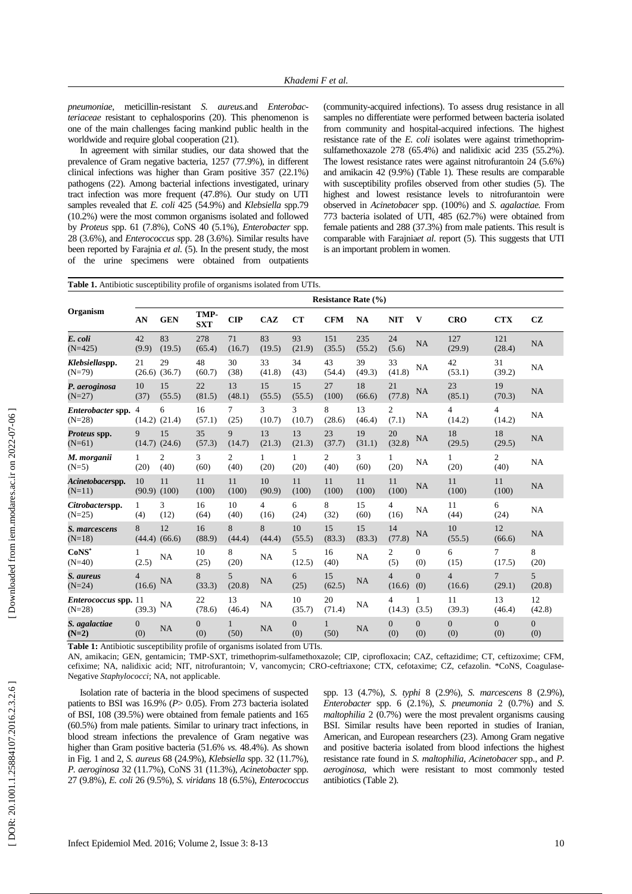*pneumoniae* , meticillin -resistant *S. aureus .*and *Enterobac teriaceae* resistant to cephalosporins (20 ) . This phenomenon is one of the main challenges facing mankind public health in the worldwide and require global cooperation (21) .

In agreement with similar studies, our data showed that the prevalence of Gram negative bacteria, 1257 (77.9%), in different clinical infections was higher than Gram positive 357 (22.1%) pathogens (22). Among bacterial infections investigated , urinary tract infection was more frequent (47.8%). Our study on UTI samples revealed that *E. coli* 425 (54.9%) and *Klebsiella* spp.79 (10.2%) were the most common organisms isolated and followed by *Proteus* spp. 61 (7.8%), CoNS 40 (5.1%), *Enterobacter* spp. 28 (3.6%) , and *Enterococcus* spp. 28 (3.6%) . Similar results have been reported by Farajnia *et al.* (5). In the present study, the most of the urine specimens were obtained from outpatients

(community -acquired infections). To assess drug resistance in all samples no differentiate were performed between bacteria isolate d from community and hospital -acquired infections. The highest resistance rate of the *E. coli* isolates were against trimethoprimsulfamethoxazole 278 (65.4%) and nalidixic acid 235 (55.2%).<br>The lowest resistance rates were against nitrofurantoin 24 (5.6%) and amikacin 42 (9.9%) (Table 1). These results are comparable with susceptibility profiles observed from other studies (5). The highest and lowest resistance levels to nitrofurantoin were observed in *Acinetobacer* spp. (100%) and *S. agalactiae.* From 773 bacteria isolate d of UTI, 485 (62.7%) were obtained from female patients and 288 (37.3%) fro m male patients. This result is comparable with Farajnia*et al*. report (5). This suggests that UTI is an important problem in women .

|                                      | Table 1. Antibiotic susceptibility profile of organisms isolated from UTIs. |                         |                       |                          |                        |                         |                        |               |                          |                       |                          |                          |                       |  |
|--------------------------------------|-----------------------------------------------------------------------------|-------------------------|-----------------------|--------------------------|------------------------|-------------------------|------------------------|---------------|--------------------------|-----------------------|--------------------------|--------------------------|-----------------------|--|
|                                      | <b>Resistance Rate (%)</b>                                                  |                         |                       |                          |                        |                         |                        |               |                          |                       |                          |                          |                       |  |
| Organism                             | AN                                                                          | <b>GEN</b>              | TMP-<br><b>SXT</b>    | <b>CIP</b>               | <b>CAZ</b>             | CT                      | <b>CFM</b>             | <b>NA</b>     | <b>NIT</b>               | V                     | <b>CRO</b>               | <b>CTX</b>               | <b>CZ</b>             |  |
| E. coli<br>$(N=425)$                 | 42<br>(9.9)                                                                 | 83<br>(19.5)            | 278<br>(65.4)         | 71<br>(16.7)             | 83<br>(19.5)           | 93<br>(21.9)            | 151<br>(35.5)          | 235<br>(55.2) | 24<br>(5.6)              | <b>NA</b>             | 127<br>(29.9)            | 121<br>(28.4)            | NA                    |  |
| Klebsiellaspp.<br>$(N=79)$           | 21                                                                          | 29<br>$(26.6)$ $(36.7)$ | 48<br>(60.7)          | 30<br>(38)               | 33<br>(41.8)           | 34<br>(43)              | 43<br>(54.4)           | 39<br>(49.3)  | 33<br>(41.8)             | NA                    | 42<br>(53.1)             | 31<br>(39.2)             | NA                    |  |
| P. aeroginosa<br>$(N=27)$            | 10<br>(37)                                                                  | 15<br>(55.5)            | 22<br>(81.5)          | 13<br>(48.1)             | 15<br>(55.5)           | 15<br>(55.5)            | 27<br>(100)            | 18<br>(66.6)  | 21<br>(77.8)             | NA                    | 23<br>(85.1)             | 19<br>(70.3)             | NA                    |  |
| <i>Enterobacter</i> spp.<br>$(N=28)$ | $\overline{4}$                                                              | 6<br>$(14.2)$ $(21.4)$  | 16<br>(57.1)          | $\tau$<br>(25)           | 3<br>(10.7)            | 3<br>(10.7)             | 8<br>(28.6)            | 13<br>(46.4)  | 2<br>(7.1)               | <b>NA</b>             | 4<br>(14.2)              | $\overline{4}$<br>(14.2) | <b>NA</b>             |  |
| Proteus spp.<br>$(N=61)$             | 9                                                                           | 15<br>$(14.7)$ $(24.6)$ | 35<br>(57.3)          | 9<br>(14.7)              | 13<br>(21.3)           | 13<br>(21.3)            | 23<br>(37.7)           | 19<br>(31.1)  | 20<br>(32.8)             | NA                    | 18<br>(29.5)             | 18<br>(29.5)             | NA                    |  |
| M. morganii<br>$(N=5)$               | $\mathbf{1}$<br>(20)                                                        | $\overline{c}$<br>(40)  | 3<br>(60)             | 2<br>(40)                | $\mathbf{1}$<br>(20)   | $\mathbf{1}$<br>(20)    | $\overline{2}$<br>(40) | 3<br>(60)     | $\mathbf{1}$<br>(20)     | NA                    | $\mathbf{1}$<br>(20)     | 2<br>(40)                | NA                    |  |
| Acinetobacerspp.<br>$(N=11)$         | 10<br>$(90.9)$ $(100)$                                                      | 11                      | 11<br>(100)           | 11<br>(100)              | 10<br>(90.9)           | 11<br>(100)             | 11<br>(100)            | 11<br>(100)   | 11<br>(100)              | NA                    | 11<br>(100)              | 11<br>(100)              | NA                    |  |
| Citrobacterspp.<br>$(N=25)$          | $\mathbf{1}$<br>(4)                                                         | 3<br>(12)               | 16<br>(64)            | 10<br>(40)               | $\overline{4}$<br>(16) | 6<br>(24)               | 8<br>(32)              | 15<br>(60)    | $\overline{4}$<br>(16)   | NA                    | 11<br>(44)               | 6<br>(24)                | NA                    |  |
| S. marcescens<br>$(N=18)$            | 8                                                                           | 12<br>$(44.4)$ $(66.6)$ | 16<br>(88.9)          | 8<br>(44.4)              | 8<br>(44.4)            | 10<br>(55.5)            | 15<br>(83.3)           | 15<br>(83.3)  | 14<br>(77.8)             | NA                    | 10<br>(55.5)             | 12<br>(66.6)             | NA                    |  |
| $CoNS^*$<br>$(N=40)$                 | 1<br>(2.5)                                                                  | NA                      | 10<br>(25)            | 8<br>(20)                | NA                     | 5<br>(12.5)             | 16<br>(40)             | NA            | $\overline{2}$<br>(5)    | $\theta$<br>(0)       | 6<br>(15)                | 7<br>(17.5)              | 8<br>(20)             |  |
| S. aureus<br>$(N=24)$                | $\overline{4}$<br>(16.6)                                                    | <b>NA</b>               | 8<br>(33.3)           | 5 <sup>5</sup><br>(20.8) | <b>NA</b>              | 6<br>(25)               | 15<br>(62.5)           | <b>NA</b>     | $\overline{4}$<br>(16.6) | $\overline{0}$<br>(0) | $\overline{4}$<br>(16.6) | $\overline{7}$<br>(29.1) | 5<br>(20.8)           |  |
| Enterococcus spp. 11<br>$(N=28)$     | (39.3)                                                                      | <b>NA</b>               | 22<br>(78.6)          | 13<br>(46.4)             | NA                     | 10<br>(35.7)            | 20<br>(71.4)           | NA            | $\overline{4}$<br>(14.3) | 1<br>(3.5)            | 11<br>(39.3)             | 13<br>(46.4)             | 12<br>(42.8)          |  |
| S. agalactiae<br>$(N=2)$             | $\overline{0}$<br>(0)                                                       | NA                      | $\overline{0}$<br>(0) | $\mathbf{1}$<br>(50)     | <b>NA</b>              | $\boldsymbol{0}$<br>(0) | $\mathbf{1}$<br>(50)   | NA            | $\overline{0}$<br>(0)    | $\overline{0}$<br>(0) | $\overline{0}$<br>(0)    | $\mathbf{0}$<br>(0)      | $\overline{0}$<br>(0) |  |

**Table 1:** Antibiotic susceptibility profile of organisms isolated from UTIs.

AN, amikacin; GEN, gentamicin; TMP-SXT, trimethoprim-sulfamethoxazole; CIP, ciprofloxacin; CAZ, ceftazidime; CT, ceftizoxime; CFM, cefixime; NA, nalidixic acid; NIT, nitrofurantoin; V, vancomycin; CRO-ceftriaxone; CTX, cefotaxime; CZ, cefazolin. \*CoNS, Coagulase-Negative *Staphylococci*; NA, not applicable.

Isolation rate of bacteria in the blood specimens of suspected patients to BSI was 16.9% ( *P*> 0.05). From 273 bacteria isolated of BSI, 108 (39.5%) were obtained from female patients and 165 (60.5%) from male patients. Similar to urinary tract infections, in blood stream infections the prevalence of Gram negative was higher than Gram positive bacteria (51.6% *vs.* 48.4%). As shown in Fig . 1 and 2, *S. aureus* 68 (24.9%), *Klebsiella* spp. 32 (11.7%), *P. aeroginosa* 32 (11.7%), CoNS 31 (11.3%), *Acinetobacter* spp. 27 (9.8%), *E. coli* 26 (9.5%), *S. viridans* 18 (6.5%), *Enterococcus*

spp. 13 (4.7%), *S. typhi* 8 (2.9%), *S. marcescens* 8 (2.9%), *Enterobacter* spp. 6 (2.1%), *S. pneumonia* 2 (0.7%) and *S. maltophilia* 2 (0.7%) were the most prevalent organisms causing BSI. Similar results have been reported in studies of Iranian, American , and European researchers (23). Among Gram negative and positive bacteria isolated from blood infections the highest resistance rate found in *S. maltophilia*, *Acinetobacer* spp., and *P. aeroginosa ,* which were resistant to most commonly tested antibiotics (Table 2).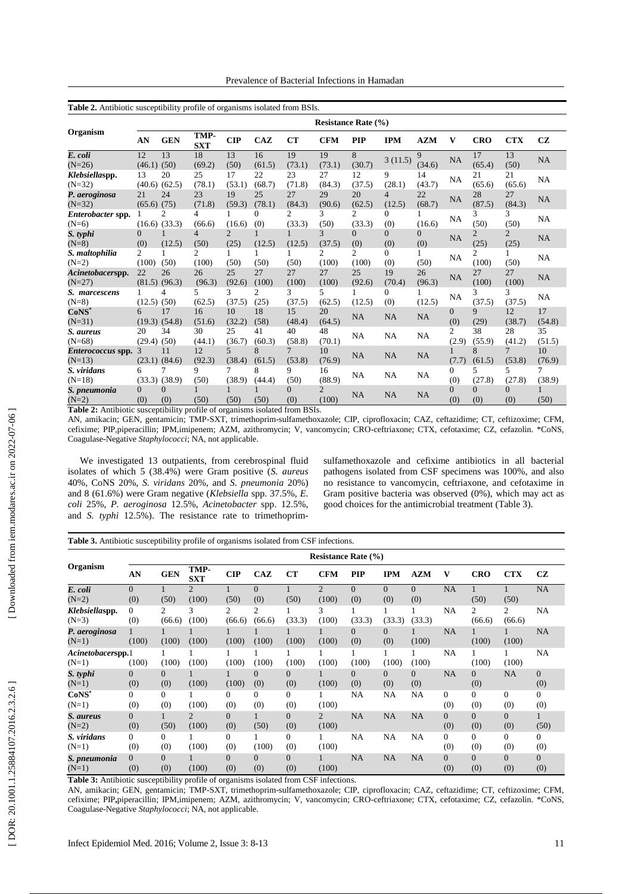Prevalence of Bacterial Infections in Hamadan

| Table 2. Antibiotic susceptibility profile of organisms isolated from BSIs. |                       |                         |                    |                        |                        |                          |                            |                 |                 |                       |                         |                        |                          |              |
|-----------------------------------------------------------------------------|-----------------------|-------------------------|--------------------|------------------------|------------------------|--------------------------|----------------------------|-----------------|-----------------|-----------------------|-------------------------|------------------------|--------------------------|--------------|
|                                                                             |                       |                         |                    |                        |                        |                          | <b>Resistance Rate (%)</b> |                 |                 |                       |                         |                        |                          |              |
| Organism                                                                    | AN                    | <b>GEN</b>              | TMP-<br><b>SXT</b> | $\mathbf{CIP}$         | <b>CAZ</b>             | CT                       | <b>CFM</b>                 | <b>PIP</b>      | <b>IPM</b>      | <b>AZM</b>            | V                       | <b>CRO</b>             | <b>CTX</b>               | CZ           |
| E. coli<br>$(N=26)$                                                         | 12<br>$(46.1)$ $(50)$ | 13                      | 18<br>(69.2)       | 13<br>(50)             | 16<br>(61.5)           | 19<br>(73.1)             | 19<br>(73.1)               | 8<br>(30.7)     | 3(11.5)         | 9<br>(34.6)           | <b>NA</b>               | 17<br>(65.4)           | 13<br>(50)               | NA           |
| Klebsiellaspp.<br>$(N=32)$                                                  | 13                    | 20<br>$(40.6)$ $(62.5)$ | 25<br>(78.1)       | 17<br>(53.1)           | 22<br>(68.7)           | 23<br>(71.8)             | 27<br>(84.3)               | 12<br>(37.5)    | 9<br>(28.1)     | 14<br>(43.7)          | NA                      | 21<br>(65.6)           | 21<br>(65.6)             | NA           |
| P. aeroginosa<br>$(N=32)$                                                   | 21<br>(65.6)          | 24<br>(75)              | 23<br>(71.8)       | 19<br>(59.3)           | 25<br>(78.1)           | 27<br>(84.3)             | 29<br>(90.6)               | 20<br>(62.5)    | 4<br>(12.5)     | 22<br>(68.7)          | NA                      | 28<br>(87.5)           | 27<br>(84.3)             | NA           |
| Enterobacter spp.<br>$(N=6)$                                                |                       | 2<br>$(16.6)$ $(33.3)$  | 4<br>(66.6)        | (16.6)                 | $\theta$<br>(0)        | $\mathfrak{D}$<br>(33.3) | 3<br>(50)                  | 2<br>(33.3)     | 0<br>(0)        | (16.6)                | <b>NA</b>               | 3<br>(50)              | 3<br>(50)                | NA           |
| S. typhi<br>$(N=8)$                                                         | $\Omega$<br>(0)       | (12.5)                  | 4<br>(50)          | $\overline{c}$<br>(25) | (12.5)                 | (12.5)                   | 3<br>(37.5)                | $\Omega$<br>(0) | $\Omega$<br>(0) | $\overline{0}$<br>(0) | NA                      | $\overline{2}$<br>(25) | $\overline{2}$<br>(25)   | NA           |
| S. maltophilia<br>$(N=2)$                                                   | 2<br>(100)            | (50)                    | 2<br>(100)         | (50)                   | (50)                   | (50)                     | 2<br>(100)                 | 2<br>(100)      | 0<br>(0)        | 1<br>(50)             | NA                      | 2<br>(100)             | 1<br>(50)                | NA           |
| Acinetobacerspp.<br>$(N=27)$                                                | 22                    | 26<br>$(81.5)$ $(96.3)$ | 26<br>(96.3)       | 25<br>(92.6)           | 27<br>(100)            | 27<br>(100)              | 27<br>(100)                | 25<br>(92.6)    | 19<br>(70.4)    | 26<br>(96.3)          | NA                      | 27<br>(100)            | 27<br>(100)              | NA           |
| S. marcescens<br>$(N=8)$                                                    | (12.5)                | 4<br>(50)               | 5<br>(62.5)        | 3<br>(37.5)            | $\overline{c}$<br>(25) | 3<br>(37.5)              | 5.<br>(62.5)               | (12.5)          | $\Omega$<br>(0) | (12.5)                | NA                      | 3<br>(37.5)            | 3<br>(37.5)              | NA           |
| $CoNS^*$<br>$(N=31)$                                                        | 6                     | 17<br>$(19.3)$ $(54.8)$ | 16<br>(51.6)       | 10<br>(32.2)           | 18<br>(58)             | 15<br>(48.4)             | 20<br>(64.5)               | <b>NA</b>       | NA              | NA                    | $\Omega$<br>(0)         | $\mathbf{Q}$<br>(29)   | 12<br>(38.7)             | 17<br>(54.8) |
| S. aureus<br>$(N=68)$                                                       | 20<br>$(29.4)$ $(50)$ | 34                      | 30<br>(44.1)       | 25<br>(36.7)           | 41<br>(60.3)           | 40<br>(58.8)             | 48<br>(70.1)               | NA              | NA              | NA                    | $\mathfrak{2}$<br>(2.9) | 38<br>(55.9)           | 28<br>(41.2)             | 35<br>(51.5) |
| Enterococcus spp.<br>$(N=13)$                                               |                       | 11<br>$(23.1)$ $(84.6)$ | 12<br>(92.3)       | 5<br>(38.4)            | 8<br>(61.5)            | $\overline{7}$<br>(53.8) | 10<br>(76.9)               | <b>NA</b>       | <b>NA</b>       | <b>NA</b>             | (7.7)                   | 8<br>(61.5)            | $\overline{7}$<br>(53.8) | 10<br>(76.9) |
| S. viridans<br>$(N=18)$                                                     | 6                     | 7<br>$(33.3)$ $(38.9)$  | 9<br>(50)          | 7<br>(38.9)            | 8<br>(44.4)            | 9<br>(50)                | 16<br>(88.9)               | NA              | NA              | <b>NA</b>             | $\Omega$<br>(0)         | 5<br>(27.8)            | 5<br>(27.8)              | 7<br>(38.9)  |
| S. pneumonia<br>$(N=2)$<br>$\overline{a}$                                   | $\Omega$<br>(0)       | 0<br>(0)                | (50)               | (50)                   | (50)                   | $\Omega$<br>(0)          | $\mathfrak{D}$<br>(100)    | <b>NA</b>       | NA              | NA                    | $\Omega$<br>(0)         | $\Omega$<br>(0)        | $\Omega$<br>(0)          | (50)         |

**Table 2:** Antibiotic susceptibility profile of organisms isolated from BSIs.

AN, amikacin; GEN, gentamicin; TMP-SXT, trimethoprim-sulfamethoxazole; CIP, ciprofloxacin; CAZ, ceftazidime; CT, ceftizoxime; CFM, cefixime; PIP,piperacillin; IPM,imipenem; AZM, azithromycin; V, vancomycin; CRO -ceftriaxone; CTX, cefotaxime; CZ, cefazolin. \*CoNS, Coagulase -Negative *Staphylococci*; NA, not applicable.

We investigated 13 outpatients, from cerebrospinal fluid isolates of which 5 (38.4%) were Gram positive (*S. aureus* 40%, CoNS 20%, *S. viridans* 20%, and *S. pneumonia* 20%) and 8 (61.6%) were Gram negative (*Klebsiella* spp. 37.5%, *E. coli* 25%, *P. aeroginosa* 12.5%, *Acinetobacter* spp. 12.5%, and *S. typhi* 12.5%). The resistance rate to trimethoprim -

sulfamethoxazole and cefixime antibiotics in all bacterial pathogens isolated from CSF specimens was 100% , and also no resistance to vancomycin, ceftriaxone, and cefotaxime in Gram positive bacteria was observed (0%) , which may act as good choice s for the antimicrobial treatment (Table 3).

|                              |                       |                 |                         |                       |                          |                       |                         | <b>Resistance Rate (%)</b> |                 |                 |                 |                 |                          |                       |
|------------------------------|-----------------------|-----------------|-------------------------|-----------------------|--------------------------|-----------------------|-------------------------|----------------------------|-----------------|-----------------|-----------------|-----------------|--------------------------|-----------------------|
| Organism                     | AN                    | <b>GEN</b>      | TMP-<br><b>SXT</b>      | $\mathbf{CIP}$        | CAZ                      | CT                    | <b>CFM</b>              | <b>PIP</b>                 | <b>IPM</b>      | A Z M           | v               | <b>CRO</b>      | <b>CTX</b>               | CZ                    |
| E. coli<br>$(N=2)$           | $\Omega$<br>(0)       | (50)            | $\overline{c}$<br>(100) | (50)                  | $\Omega$<br>(0)          | (50)                  | $\overline{c}$<br>(100) | $\Omega$<br>(0)            | $\Omega$<br>(0) | $\Omega$<br>(0) | <b>NA</b>       | (50)            | (50)                     | NA                    |
| Klebsiellaspp.<br>$(N=3)$    | $\Omega$<br>(0)       | 2<br>(66.6)     | 3<br>(100)              | 2<br>(66.6)           | $\mathfrak{2}$<br>(66.6) | (33.3)                | 3<br>(100)              | (33.3)                     | (33.3)          | (33.3)          | NA              | 2<br>(66.6)     | $\overline{c}$<br>(66.6) | NA                    |
| P. aeroginosa<br>$(N=1)$     | (100)                 | (100)           | (100)                   | (100)                 | (100)                    | (100)                 | (100)                   | $\overline{0}$<br>(0)      | $\Omega$<br>(0) | (100)           | <b>NA</b>       | (100)           | (100)                    | NA                    |
| Acinetobacerspp.1<br>$(N=1)$ | (100)                 | (100)           | (100)                   | (100)                 | (100)                    | (100)                 | 1<br>(100)              | (100)                      | 1<br>(100)      | (100)           | NA              | (100)           | (100)                    | NA.                   |
| S. typhi<br>$(N=1)$          | $\overline{0}$<br>(0) | $\Omega$<br>(0) | (100)                   | (100)                 | $\Omega$<br>(0)          | $\overline{0}$<br>(0) | 1<br>(100)              | $\overline{0}$<br>(0)      | $\Omega$<br>(0) | $\Omega$<br>(0) | <b>NA</b>       | $\Omega$<br>(0) | NA                       | $\overline{0}$<br>(0) |
| $CoNS^*$<br>$(N=1)$          | $\Omega$<br>(0)       | $\Omega$<br>(0) | (100)                   | $\Omega$<br>(0)       | $\Omega$<br>(0)          | $\theta$<br>(0)       | (100)                   | NA                         | <b>NA</b>       | NA              | $\Omega$<br>(0) | $\Omega$<br>(0) | $\Omega$<br>(0)          | $\theta$<br>(0)       |
| S. aureus<br>$(N=2)$         | $\overline{0}$<br>(0) | (50)            | $\overline{c}$<br>(100) | $\Omega$<br>(0)       | (50)                     | $\overline{0}$<br>(0) | $\overline{2}$<br>(100) | <b>NA</b>                  | NA              | <b>NA</b>       | $\Omega$<br>(0) | $\Omega$<br>(0) | $\overline{0}$<br>(0)    | (50)                  |
| S. viridans<br>$(N=1)$       | $\mathbf{0}$<br>(0)   | $\Omega$<br>(0) | (100)                   | $\overline{0}$<br>(0) | (100)                    | $\mathbf{0}$<br>(0)   | 1<br>(100)              | NA                         | NA              | <b>NA</b>       | $\Omega$<br>(0) | $\Omega$<br>(0) | $\overline{0}$<br>(0)    | 0<br>(0)              |
| S. pneumonia<br>$(N=1)$      | $\Omega$<br>(0)       | $\Omega$<br>(0) | (100)                   | $\Omega$<br>(0)       | $\Omega$<br>(0)          | $\Omega$<br>(0)       | 1<br>(100)              | <b>NA</b>                  | NA              | NA              | $\Omega$<br>(0) | $\Omega$<br>(0) | $\Omega$<br>(0)          | $\Omega$<br>(0)       |

**Table 3:** Antibiotic susceptibility profile of organisms isolated from CSF infections.

AN, amikacin; GEN, gentamicin; TMP -SXT, trimethoprim -sulfamethoxazole; CIP, ciprofloxacin; CAZ, ceftazidime; CT, ceftizoxime; CFM, cefixime; PIP,piperacillin; IPM,imipenem; AZM, azithromycin; V, vancomycin; CRO-ceftriaxone; CTX, cefotaxime; CZ, cefazolin. \*CoNS, Coagulase -Negative *Staphylococci*; NA, not applicable.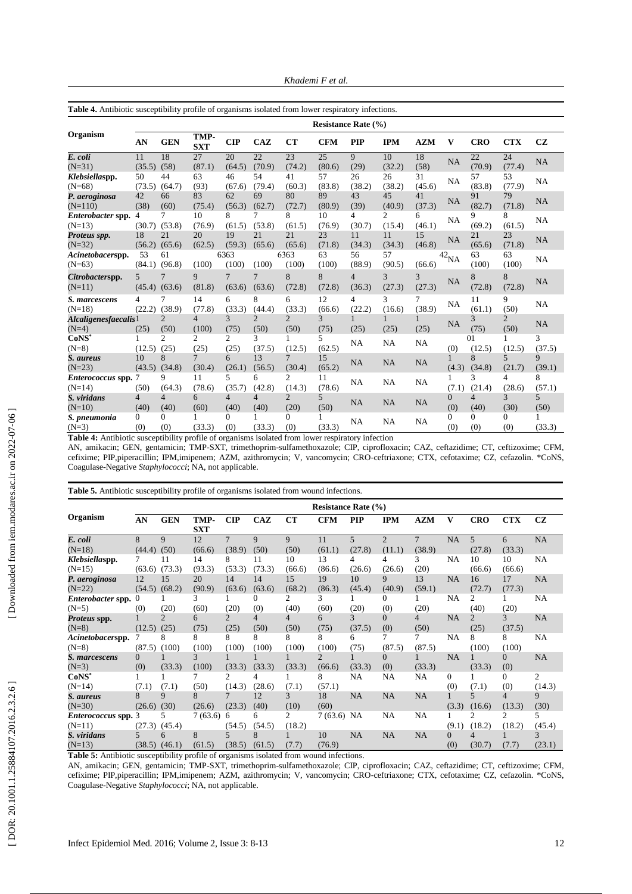*Khademi F et al .*

| <b>Table 4.</b> Antibiotic susceptibility profile of organisms isolated from lower respiratory infections. |                 |                        |                          |                        |                          |                          |              |                            |                          |              |                    |                        |                        |             |
|------------------------------------------------------------------------------------------------------------|-----------------|------------------------|--------------------------|------------------------|--------------------------|--------------------------|--------------|----------------------------|--------------------------|--------------|--------------------|------------------------|------------------------|-------------|
|                                                                                                            |                 |                        |                          |                        |                          |                          |              | <b>Resistance Rate (%)</b> |                          |              |                    |                        |                        |             |
| Organism                                                                                                   | AN              | <b>GEN</b>             | TMP-<br><b>SXT</b>       | CIP                    | CAZ                      | CT                       | <b>CFM</b>   | <b>PIP</b>                 | <b>IPM</b>               | <b>AZM</b>   | V                  | <b>CRO</b>             | <b>CTX</b>             | <b>CZ</b>   |
| E. coli<br>$(N=31)$                                                                                        | 11<br>(35.5)    | 18<br>(58)             | 27<br>(87.1)             | 20<br>(64.5)           | 22<br>(70.9)             | 23<br>(74.2)             | 25<br>(80.6) | 9<br>(29)                  | 10<br>(32.2)             | 18<br>(58)   | NA                 | 22<br>(70.9)           | 24<br>(77.4)           | NA          |
| Klebsiellaspp.<br>$(N=68)$                                                                                 | 50<br>(73.5)    | 44<br>(64.7)           | 63<br>(93)               | 46<br>(67.6)           | 54<br>(79.4)             | 41<br>(60.3)             | 57<br>(83.8) | 26<br>(38.2)               | 26<br>(38.2)             | 31<br>(45.6) | NA                 | 57<br>(83.8)           | 53<br>(77.9)           | <b>NA</b>   |
| P. aeroginosa<br>$(N=110)$                                                                                 | 42<br>(38)      | 66<br>(60)             | 83<br>(75.4)             | 62<br>(56.3)           | 69<br>(62.7)             | 80<br>(72.7)             | 89<br>(80.9) | 43<br>(39)                 | 45<br>(40.9)             | 41<br>(37.3) | NA                 | 91<br>(82.7)           | 79<br>(71.8)           | NA          |
| Enterobacter spp.<br>$(N=13)$                                                                              | 4<br>(30.7)     | 7<br>(53.8)            | 10<br>(76.9)             | 8<br>(61.5)            | 7<br>(53.8)              | 8<br>(61.5)              | 10<br>(76.9) | 4<br>(30.7)                | $\overline{2}$<br>(15.4) | 6<br>(46.1)  | NA                 | 9<br>(69.2)            | 8<br>(61.5)            | <b>NA</b>   |
| Proteus spp.<br>$(N=32)$                                                                                   | 18<br>(56.2)    | 21<br>(65.6)           | 20<br>(62.5)             | 19<br>(59.3)           | 21<br>(65.6)             | 21<br>(65.6)             | 23<br>(71.8) | 11<br>(34.3)               | 11<br>(34.3)             | 15<br>(46.8) | NA                 | 21<br>(65.6)           | 23<br>(71.8)           | NA          |
| Acinetobacerspp.<br>$(N=63)$                                                                               | 53<br>(84.1)    | 61<br>(96.8)           | (100)                    | 6363<br>(100)          | (100)                    | 6363<br>(100)            | 63<br>(100)  | 56<br>(88.9)               | 57<br>(90.5)             | (66.6)       | $42$ <sub>NA</sub> | 63<br>(100)            | 63<br>(100)            | <b>NA</b>   |
| Citrobacterspp.<br>$(N=11)$                                                                                | 5<br>(45.4)     | 7<br>(63.6)            | 9<br>(81.8)              | 7<br>(63.6)            | $\overline{7}$<br>(63.6) | 8<br>(72.8)              | 8<br>(72.8)  | $\overline{4}$<br>(36.3)   | 3<br>(27.3)              | 3<br>(27.3)  | NA                 | 8<br>(72.8)            | 8<br>(72.8)            | NA          |
| S. marcescens<br>$(N=18)$                                                                                  | 4<br>(22.2)     | (38.9)                 | 14<br>(77.8)             | 6<br>(33.3)            | 8<br>(44.4)              | 6<br>(33.3)              | 12<br>(66.6) | 4<br>(22.2)                | 3<br>(16.6)              | 7<br>(38.9)  | NA                 | 11<br>(61.1)           | 9<br>(50)              | NA          |
| Alcaligenesfaecalis1<br>$(N=4)$                                                                            | (25)            | 2<br>(50)              | 4<br>(100)               | 3<br>(75)              | $\overline{2}$<br>(50)   | $\overline{c}$<br>(50)   | 3<br>(75)    | (25)                       | (25)                     | (25)         | NA                 | 3<br>(75)              | $\overline{c}$<br>(50) | NA          |
| CoNS <sup>*</sup><br>$(N=8)$                                                                               | 1<br>(12.5)     | $\overline{2}$<br>(25) | 2<br>(25)                | $\overline{c}$<br>(25) | 3<br>(37.5)              | 1<br>(12.5)              | 5<br>(62.5)  | <b>NA</b>                  | <b>NA</b>                | NA           | (0)                | 01<br>(12.5)           | (12.5)                 | 3<br>(37.5) |
| S. aureus<br>$(N=23)$                                                                                      | 10<br>(43.5)    | 8<br>(34.8)            | $\overline{7}$<br>(30.4) | 6<br>(26.1)            | 13<br>(56.5)             | $\overline{7}$<br>(30.4) | 15<br>(65.2) | NA                         | <b>NA</b>                | NA           | 1<br>(4.3)         | 8<br>(34.8)            | 5<br>(21.7)            | 9<br>(39.1) |
| Enterococcus spp.<br>$(N=14)$                                                                              | (50)            | 9<br>(64.3)            | 11<br>(78.6)             | 5.<br>(35.7)           | 6<br>(42.8)              | $\mathfrak{D}$<br>(14.3) | 11<br>(78.6) | <b>NA</b>                  | NA                       | <b>NA</b>    | 1<br>(7.1)         | 3<br>(21.4)            | 4<br>(28.6)            | 8<br>(57.1) |
| S. viridans<br>$(N=10)$                                                                                    | 4<br>(40)       | $\overline{4}$<br>(40) | 6<br>(60)                | $\overline{4}$<br>(40) | $\overline{4}$<br>(40)   | $\overline{2}$<br>(20)   | 5<br>(50)    | NA                         | NA                       | NA           | $\Omega$<br>(0)    | $\overline{4}$<br>(40) | 3<br>(30)              | 5<br>(50)   |
| S. pneumonia<br>$(N=3)$                                                                                    | $\Omega$<br>(0) | $\Omega$<br>(0)        | (33.3)                   | 0<br>(0)               | 1<br>(33.3)              | 0<br>(0)                 | (33.3)       | <b>NA</b>                  | <b>NA</b>                | NA           | $\Omega$<br>(0)    | 0<br>(0)               | $\Omega$<br>(0)        | (33.3)      |

**Table 4:** Antibiotic susceptibility profile of organisms isolated from lower respiratory infection

AN, amikacin; GEN, gentamicin; TMP -SXT, trimethoprim -sulfamethoxazole; CIP, ciprofloxacin; CAZ, ceftazidime; CT, ceftizoxime; CFM, cefixime; PIP,piperacillin; IPM,imipenem; AZM, azithromycin; V, vancomycin; CRO -ceftriaxone; CTX, cefotaxime; CZ, cefazolin. \*CoNS, Coagulase -Negative *Staphylococci*; NA, not applicable.

|                              |                                    |                        |                    |                          |                        |                        | <b>Resistance Rate (%)</b> |                         |                 |                        |                 |                          |                 |             |
|------------------------------|------------------------------------|------------------------|--------------------|--------------------------|------------------------|------------------------|----------------------------|-------------------------|-----------------|------------------------|-----------------|--------------------------|-----------------|-------------|
| Organism                     | AN                                 | <b>GEN</b>             | TMP-<br><b>SXT</b> | $\mathbf{CIP}$           | CAZ                    | CT                     | <b>CFM</b>                 | <b>PIP</b>              | <b>IPM</b>      | <b>AZM</b>             | $\mathbf{V}$    | <b>CRO</b>               | <b>CTX</b>      | CZ.         |
| E. coli                      | 8                                  | $\mathbf{Q}$           | 12                 | $\overline{7}$           | 9                      | 9                      | 11                         | 5                       | $\overline{2}$  | $\tau$                 | <b>NA</b>       | 5                        | 6               | NA          |
| $(N=18)$                     | (44.4)                             | (50)                   | (66.6)             | (38.9)                   | (50)                   | (50)                   | (61.1)                     | (27.8)                  | (11.1)          | (38.9)                 |                 | (27.8)                   | (33.3)          |             |
| Klebsiellaspp.<br>$(N=15)$   | 7<br>(63.6)                        | 11<br>(73.3)           | 14<br>(93.3)       | 8<br>(53.3)              | 11<br>(73.3)           | 10<br>(66.6)           | 13<br>(86.6)               | 4<br>(26.6)             | 4<br>(26.6)     | 3<br>(20)              | <b>NA</b>       | 10<br>(66.6)             | 10<br>(66.6)    | <b>NA</b>   |
| P. aeroginosa<br>$(N=22)$    | 12<br>(54.5)                       | 15<br>(68.2)           | 20<br>(90.9)       | 14<br>(63.6)             | 14<br>(63.6)           | 15<br>(68.2)           | 19<br>(86.3)               | 10<br>(45.4)            | 9<br>(40.9)     | 13<br>(59.1)           | NA              | 16<br>(72.7)             | 17<br>(77.3)    | NA          |
| Enterobacter spp.<br>$(N=5)$ | $^{(1)}$<br>(0)                    | (20)                   | 3<br>(60)          | (20)                     | $\Omega$<br>(0)        | 2<br>(40)              | 3<br>(60)                  | (20)                    | 0<br>(0)        | (20)                   | NA              | 2<br>(40)                | (20)            | <b>NA</b>   |
| Proteus spp.<br>$(N=8)$      | (12.5)                             | $\overline{2}$<br>(25) | 6<br>(75)          | $\overline{2}$<br>(25)   | $\overline{4}$<br>(50) | $\overline{4}$<br>(50) | 6<br>(75)                  | $\mathcal{F}$<br>(37.5) | $\Omega$<br>(0) | $\overline{4}$<br>(50) | <b>NA</b>       | $\overline{2}$<br>(25)   | 3<br>(37.5)     | NA          |
| Acinetobacerspp.<br>$(N=8)$  | 7<br>(87.5)                        | 8<br>(100)             | 8<br>(100)         | 8<br>(100)               | 8<br>(100)             | 8<br>(100)             | 8<br>(100)                 | 6<br>(75)               | 7<br>(87.5)     | 7<br>(87.5)            | <b>NA</b>       | 8<br>(100)               | 8<br>(100)      | <b>NA</b>   |
| S. marcescens<br>$(N=3)$     | $\Omega$<br>(0)                    | (33.3)                 | 3<br>(100)         | (33.3)                   | (33.3)                 | (33.3)                 | $\overline{2}$<br>(66.6)   | (33.3)                  | $\Omega$<br>(0) | (33.3)                 | NA              | (33.3)                   | $\Omega$<br>(0) | NA          |
| $CoNS^*$                     |                                    |                        |                    | 2                        | 4                      |                        | 8                          | NA                      | <b>NA</b>       | <b>NA</b>              | $\theta$        |                          | $\Omega$        | 2           |
| $(N=14)$                     | (7.1)                              | (7.1)                  | (50)               | (14.3)                   | (28.6)                 | (7.1)                  | (57.1)                     |                         |                 |                        | (0)             | (7.1)                    | (0)             | (14.3)      |
| S. aureus                    | 8                                  | 9                      | 8                  | $\overline{7}$           | 12                     | 3                      | 18                         | NA                      | NA              | NA                     |                 | 5                        | 4               | 9           |
| $(N=30)$                     | (26.6)                             | (30)                   | (26.6)             | (23.3)                   | (40)                   | (10)                   | (60)                       |                         |                 |                        | (3.3)           | (16.6)                   | (13.3)          | (30)        |
| <i>Enterococcus</i> spp. 3   |                                    | 5                      | 7(63.6)            | 6                        | 6                      | 2                      | 7 (63.6) NA                |                         | NA              | NA                     |                 | 2                        | 2               | 5           |
| $(N=11)$                     | (27.3)                             | (45.4)                 |                    | (54.5)                   | (54.5)                 | (18.2)                 |                            |                         |                 |                        | (9.1)           | (18.2)                   | (18.2)          | (45.4)      |
| S. viridans<br>$(N=13)$      | $\overline{\phantom{0}}$<br>(38.5) | 6<br>(46.1)            | 8<br>(61.5)        | $\overline{5}$<br>(38.5) | 8<br>(61.5)            | (7.7)                  | 10<br>(76.9)               | NA                      | NA              | NA                     | $\Omega$<br>(0) | $\overline{4}$<br>(30.7) | (7.7)           | 3<br>(23.1) |

**Table 5:** Antibiotic susceptibility profile of organisms isolated from wound infections.

AN, amikacin; GEN, gentamicin; TMP -SXT, trimethoprim -sulfamethoxazole; CIP, ciprofloxacin; CAZ, ceftazidime; CT, ceftizoxime; CFM, cefixime; PIP,piperacillin; IPM,imipenem; AZM, azithromycin; V, vancomycin; CRO-ceftriaxone; CTX, cefotaxime; CZ, cefazolin. \*CoNS, Coagulase -Negative *Staphylococci*; NA, not applicable.